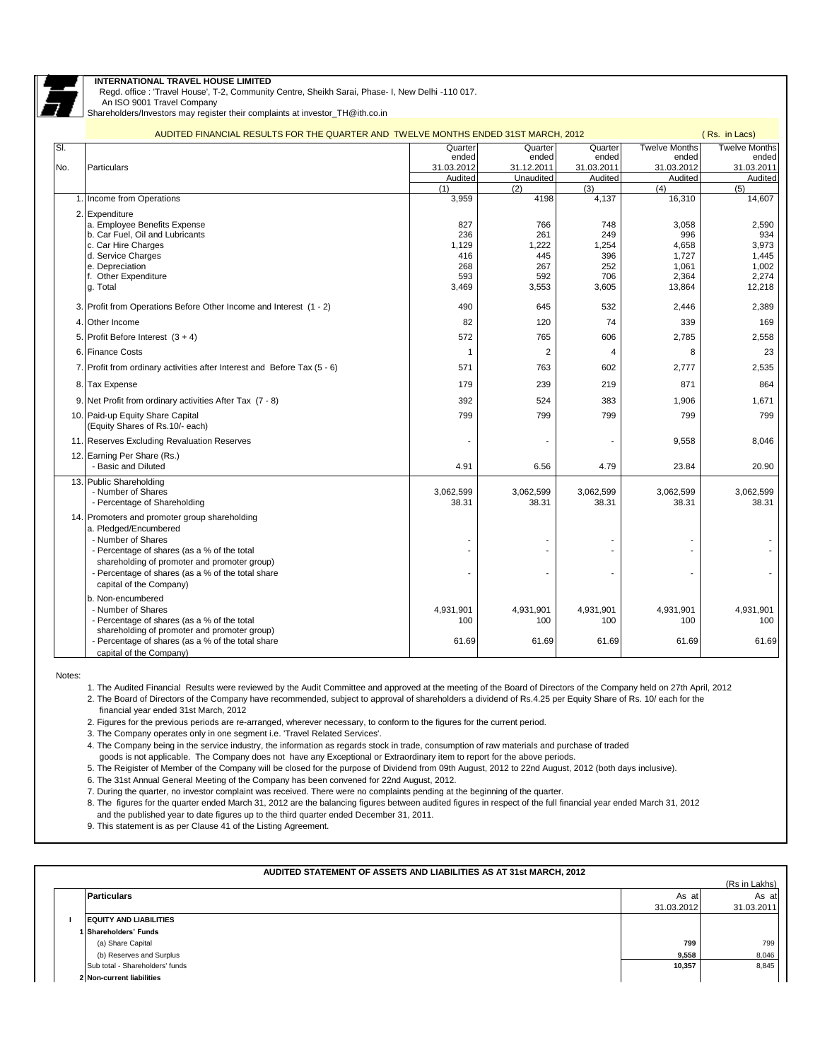

## **INTERNATIONAL TRAVEL HOUSE LIMITED**

Regd. office : 'Travel House', T-2, Community Centre, Sheikh Sarai, Phase- I, New Delhi -110 017.

 An ISO 9001 Travel Company Shareholders/Investors may register their complaints at investor\_TH@ith.co.in

|     | AUDITED FINANCIAL RESULTS FOR THE QUARTER AND TWELVE MONTHS ENDED 31ST MARCH, 2012                |                       |                         |                       |                       | (Rs. in Lacs)         |
|-----|---------------------------------------------------------------------------------------------------|-----------------------|-------------------------|-----------------------|-----------------------|-----------------------|
| SI. |                                                                                                   | Quarter               | Quarter                 | Quarter               | <b>Twelve Months</b>  | <b>Twelve Months</b>  |
|     |                                                                                                   | ended                 | ended                   | ended                 | ended                 | ended                 |
| No. | Particulars                                                                                       | 31.03.2012<br>Audited | 31.12.2011<br>Unaudited | 31.03.2011<br>Audited | 31.03.2012<br>Audited | 31.03.2011<br>Audited |
|     |                                                                                                   | (1)                   | (2)                     | (3)                   | (4)                   | (5)                   |
|     | 1. Income from Operations                                                                         | 3,959                 | 4198                    | 4,137                 | 16,310                | 14,607                |
|     | 2. Expenditure                                                                                    |                       |                         |                       |                       |                       |
|     | a. Employee Benefits Expense                                                                      | 827                   | 766                     | 748                   | 3,058                 | 2,590                 |
|     | b. Car Fuel, Oil and Lubricants                                                                   | 236                   | 261                     | 249                   | 996                   | 934                   |
|     | c. Car Hire Charges                                                                               | 1,129                 | 1,222                   | 1,254                 | 4,658                 | 3,973                 |
|     | d. Service Charges                                                                                | 416                   | 445                     | 396                   | 1,727                 | 1,445                 |
|     | e. Depreciation<br>f. Other Expenditure                                                           | 268<br>593            | 267<br>592              | 252<br>706            | 1,061<br>2,364        | 1,002<br>2,274        |
|     | g. Total                                                                                          | 3,469                 | 3,553                   | 3,605                 | 13,864                | 12,218                |
|     |                                                                                                   |                       |                         |                       |                       |                       |
|     | 3. Profit from Operations Before Other Income and Interest (1 - 2)                                | 490                   | 645                     | 532                   | 2,446                 | 2,389                 |
|     | 4. Other Income                                                                                   | 82                    | 120                     | 74                    | 339                   | 169                   |
|     | 5. Profit Before Interest $(3 + 4)$                                                               | 572                   | 765                     | 606                   | 2,785                 | 2,558                 |
|     | 6. Finance Costs                                                                                  | 1                     | $\overline{2}$          | $\overline{4}$        | 8                     | 23                    |
|     | 7. Profit from ordinary activities after Interest and Before Tax (5 - 6)                          | 571                   | 763                     | 602                   | 2,777                 | 2,535                 |
|     | 8. Tax Expense                                                                                    | 179                   | 239                     | 219                   | 871                   | 864                   |
|     | 9. Net Profit from ordinary activities After Tax (7 - 8)                                          | 392                   | 524                     | 383                   | 1,906                 | 1,671                 |
|     | 10. Paid-up Equity Share Capital<br>(Equity Shares of Rs.10/- each)                               | 799                   | 799                     | 799                   | 799                   | 799                   |
|     | 11. Reserves Excluding Revaluation Reserves                                                       |                       |                         |                       | 9,558                 | 8,046                 |
|     | 12. Earning Per Share (Rs.)                                                                       |                       |                         |                       |                       |                       |
|     | - Basic and Diluted                                                                               | 4.91                  | 6.56                    | 4.79                  | 23.84                 | 20.90                 |
|     | 13. Public Shareholding                                                                           |                       |                         |                       |                       |                       |
|     | - Number of Shares                                                                                | 3,062,599<br>38.31    | 3,062,599               | 3,062,599<br>38.31    | 3,062,599             | 3,062,599<br>38.31    |
|     | - Percentage of Shareholding                                                                      |                       | 38.31                   |                       | 38.31                 |                       |
|     | 14. Promoters and promoter group shareholding                                                     |                       |                         |                       |                       |                       |
|     | a. Pledged/Encumbered                                                                             |                       |                         |                       |                       |                       |
|     | - Number of Shares<br>- Percentage of shares (as a % of the total                                 |                       |                         |                       |                       |                       |
|     | shareholding of promoter and promoter group)                                                      |                       |                         |                       |                       |                       |
|     | - Percentage of shares (as a % of the total share                                                 |                       |                         |                       |                       |                       |
|     | capital of the Company)                                                                           |                       |                         |                       |                       |                       |
|     | b. Non-encumbered                                                                                 |                       |                         |                       |                       |                       |
|     | - Number of Shares                                                                                | 4,931,901             | 4,931,901               | 4,931,901             | 4,931,901             | 4,931,901             |
|     | - Percentage of shares (as a % of the total                                                       | 100                   | 100                     | 100                   | 100                   | 100                   |
|     | shareholding of promoter and promoter group)<br>- Percentage of shares (as a % of the total share | 61.69                 | 61.69                   | 61.69                 | 61.69                 | 61.69                 |
|     | capital of the Company)                                                                           |                       |                         |                       |                       |                       |

Notes:

1. The Audited Financial Results were reviewed by the Audit Committee and approved at the meeting of the Board of Directors of the Company held on 27th April, 2012

2. The Board of Directors of the Company have recommended, subject to approval of shareholders a dividend of Rs.4.25 per Equity Share of Rs. 10/ each for the financial year ended 31st March, 2012

2. Figures for the previous periods are re-arranged, wherever necessary, to conform to the figures for the current period.

3. The Company operates only in one segment i.e. 'Travel Related Services'.

4. The Company being in the service industry, the information as regards stock in trade, consumption of raw materials and purchase of traded

goods is not applicable. The Company does not have any Exceptional or Extraordinary item to report for the above periods.

5. The Reigister of Member of the Company will be closed for the purpose of Dividend from 09th August, 2012 to 22nd August, 2012 (both days inclusive).

6. The 31st Annual General Meeting of the Company has been convened for 22nd August, 2012.

7. During the quarter, no investor complaint was received. There were no complaints pending at the beginning of the quarter.

8. The figures for the quarter ended March 31, 2012 are the balancing figures between audited figures in respect of the full financial year ended March 31, 2012

and the published year to date figures up to the third quarter ended December 31, 2011.

9. This statement is as per Clause 41 of the Listing Agreement.

| AUDITED STATEMENT OF ASSETS AND LIABILITIES AS AT 31st MARCH, 2012 |            |               |  |  |  |
|--------------------------------------------------------------------|------------|---------------|--|--|--|
|                                                                    |            | (Rs in Lakhs) |  |  |  |
| <b>Particulars</b>                                                 | As at      | As at         |  |  |  |
|                                                                    | 31.03.2012 | 31.03.2011    |  |  |  |
| <b>EQUITY AND LIABILITIES</b>                                      |            |               |  |  |  |
| <b>I Shareholders' Funds</b>                                       |            |               |  |  |  |
| (a) Share Capital                                                  | 799        | 799           |  |  |  |
| (b) Reserves and Surplus                                           | 9,558      | 8,046         |  |  |  |
| Sub total - Shareholders' funds                                    | 10,357     | 8,845         |  |  |  |
| 2 Non-current liabilities                                          |            |               |  |  |  |